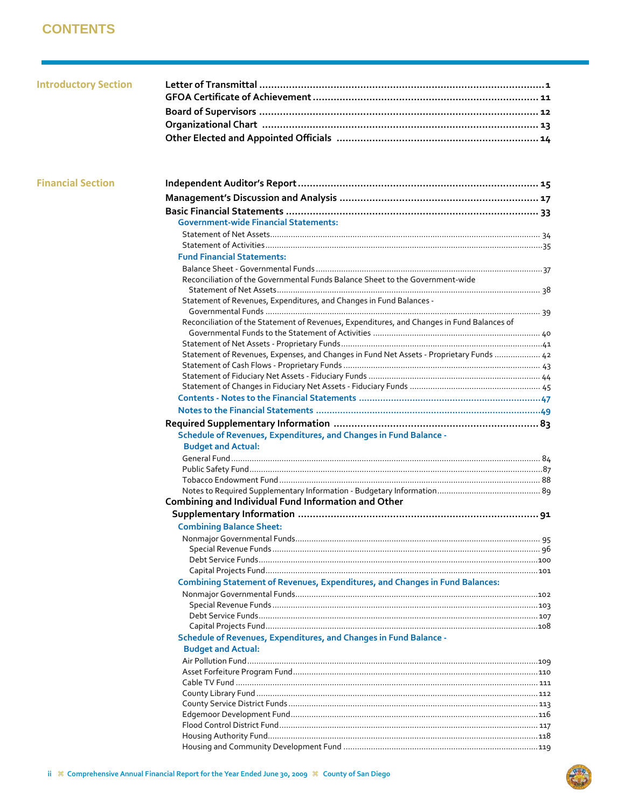## **CONTENTS**

| <b>Introductory Section</b> |                                                                                                |  |
|-----------------------------|------------------------------------------------------------------------------------------------|--|
| <b>Financial Section</b>    |                                                                                                |  |
|                             |                                                                                                |  |
|                             |                                                                                                |  |
|                             | <b>Government-wide Financial Statements:</b>                                                   |  |
|                             |                                                                                                |  |
|                             |                                                                                                |  |
|                             | <b>Fund Financial Statements:</b>                                                              |  |
|                             |                                                                                                |  |
|                             | Reconciliation of the Governmental Funds Balance Sheet to the Government-wide                  |  |
|                             | Statement of Revenues, Expenditures, and Changes in Fund Balances -                            |  |
|                             | Reconciliation of the Statement of Revenues, Expenditures, and Changes in Fund Balances of     |  |
|                             |                                                                                                |  |
|                             | Statement of Revenues, Expenses, and Changes in Fund Net Assets - Proprietary Funds  42        |  |
|                             |                                                                                                |  |
|                             |                                                                                                |  |
|                             |                                                                                                |  |
|                             |                                                                                                |  |
|                             |                                                                                                |  |
|                             | Schedule of Revenues, Expenditures, and Changes in Fund Balance -<br><b>Budget and Actual:</b> |  |
|                             |                                                                                                |  |
|                             |                                                                                                |  |
|                             |                                                                                                |  |
|                             | Combining and Individual Fund Information and Other                                            |  |
|                             | <b>Combining Balance Sheet:</b>                                                                |  |
|                             |                                                                                                |  |
|                             |                                                                                                |  |
|                             |                                                                                                |  |
|                             |                                                                                                |  |
|                             | <b>Combining Statement of Revenues, Expenditures, and Changes in Fund Balances:</b>            |  |
|                             |                                                                                                |  |
|                             |                                                                                                |  |
|                             |                                                                                                |  |
|                             |                                                                                                |  |
|                             | Schedule of Revenues, Expenditures, and Changes in Fund Balance -                              |  |
|                             | <b>Budget and Actual:</b>                                                                      |  |
|                             |                                                                                                |  |
|                             |                                                                                                |  |
|                             |                                                                                                |  |
|                             |                                                                                                |  |
|                             |                                                                                                |  |
|                             |                                                                                                |  |
|                             |                                                                                                |  |
|                             |                                                                                                |  |